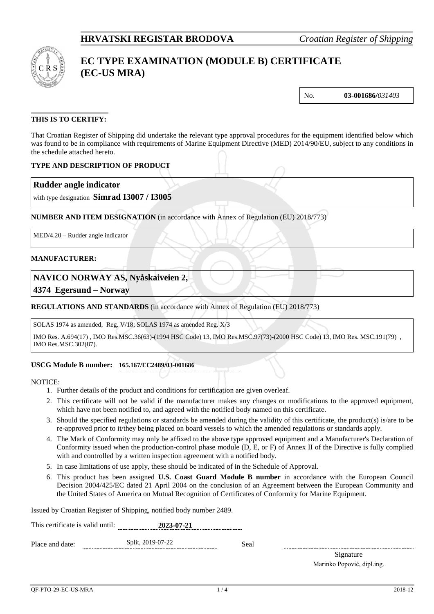

# **EC TYPE EXAMINATION (MODULE B) CERTIFICATE (EC-US MRA)**

No. **03-001686/***031403*

### **THIS IS TO CERTIFY:**

That Croatian Register of Shipping did undertake the relevant type approval procedures for the equipment identified below which was found to be in compliance with requirements of Marine Equipment Directive (MED) 2014/90/EU, subject to any conditions in the schedule attached hereto.

#### **TYPE AND DESCRIPTION OF PRODUCT**

### **Rudder angle indicator**

with type designation **Simrad I3007 / I3005**

**NUMBER AND ITEM DESIGNATION** (in accordance with Annex of Regulation (EU) 2018/773)

MED/4.20 – Rudder angle indicator

#### **MANUFACTURER:**

### **NAVICO NORWAY AS, Nyåskaiveien 2,**

**4374 Egersund – Norway**

#### **REGULATIONS AND STANDARDS** (in accordance with Annex of Regulation (EU) 2018/773)

SOLAS 1974 as amended, Reg. V/18; SOLAS 1974 as amended Reg. X/3

IMO Res. A.694(17) , IMO Res.MSC.36(63)-(1994 HSC Code) 13, IMO Res.MSC.97(73)-(2000 HSC Code) 13, IMO Res. MSC.191(79) , IMO Res.MSC.302(87).

#### **USCG Module B number: 165.167/EC2489/03-001686**

NOTICE:

- 1. Further details of the product and conditions for certification are given overleaf.
- 2. This certificate will not be valid if the manufacturer makes any changes or modifications to the approved equipment, which have not been notified to, and agreed with the notified body named on this certificate.
- 3. Should the specified regulations or standards be amended during the validity of this certificate, the product(s) is/are to be re-approved prior to it/they being placed on board vessels to which the amended regulations or standards apply.
- 4. The Mark of Conformity may only be affixed to the above type approved equipment and a Manufacturer's Declaration of Conformity issued when the production-control phase module (D, E, or F) of Annex II of the Directive is fully complied with and controlled by a written inspection agreement with a notified body.
- 5. In case limitations of use apply, these should be indicated of in the Schedule of Approval.
- 6. This product has been assigned **U.S. Coast Guard Module B number** in accordance with the European Council Decision 2004/425/EC dated 21 April 2004 on the conclusion of an Agreement between the European Community and the United States of America on Mutual Recognition of Certificates of Conformity for Marine Equipment.

Issued by Croatian Register of Shipping, notified body number 2489.

| This certificate is valid until: | 2023-07-21        |      |  |
|----------------------------------|-------------------|------|--|
| Place and date:                  | Split, 2019-07-22 | Seal |  |

Signature Marinko Popović, dipl.ing.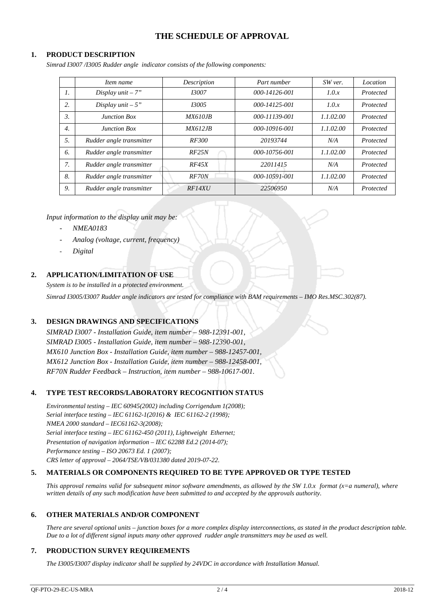### **THE SCHEDULE OF APPROVAL**

#### **1. PRODUCT DESCRIPTION**

*Simrad I3007 /I3005 Rudder angle indicator consists of the following components:*

|                  | Item name                | Description     | Part number   | SW ver.   | Location  |
|------------------|--------------------------|-----------------|---------------|-----------|-----------|
| 1.               | Display $unit - 7"$      | 13007           | 000-14126-001 | 1.0.x     | Protected |
| 2.               | Display $unit - 5$ "     | 13005           | 000-14125-001 | 1.0.x     | Protected |
| 3.               | <b>Junction Box</b>      | <i>MX610.IB</i> | 000-11139-001 | 1.1.02.00 | Protected |
| $\overline{4}$ . | <b>Junction Box</b>      | <i>MX612.JB</i> | 000-10916-001 | 1.1.02.00 | Protected |
| 5.               | Rudder angle transmitter | <i>RF300</i>    | 20193744      | N/A       | Protected |
| 6.               | Rudder angle transmitter | RF25N           | 000-10756-001 | 1.1.02.00 | Protected |
| 7.               | Rudder angle transmitter | RF45X           | 22011415      | N/A       | Protected |
| 8.               | Rudder angle transmitter | RF70N           | 000-10591-001 | 1.1.02.00 | Protected |
| 9.               | Rudder angle transmitter | RF14XU          | 22506950      | N/A       | Protected |

*Input information to the display unit may be:*

- *NMEA0183*
- *Analog (voltage, current, frequency)*
- *Digital*

### **2. APPLICATION/LIMITATION OF USE**

*System is to be installed in a protected environment.*

*Simrad I3005/I3007 Rudder angle indicators are tested for compliance with BAM requirements – IMO Res.MSC.302(87).*

### **3. DESIGN DRAWINGS AND SPECIFICATIONS**

*SIMRAD I3007 - Installation Guide, item number – 988-12391-001, SIMRAD I3005 - Installation Guide, item number – 988-12390-001, MX610 Junction Box - Installation Guide, item number – 988-12457-001, MX612 Junction Box - Installation Guide, item number – 988-12458-001, RF70N Rudder Feedback – Instruction, item number – 988-10617-001.*

### **4. TYPE TEST RECORDS/LABORATORY RECOGNITION STATUS**

*Environmental testing – IEC 60945(2002) including Corrigendum 1(2008); Serial interface testing – IEC 61162-1(2016) & IEC 61162-2 (1998); NMEA 2000 standard – IEC61162-3(2008); Serial interface testing – IEC 61162-450 (2011), Lightweight Ethernet; Presentation of navigation information – IEC 62288 Ed.2 (2014-07); Performance testing – ISO 20673 Ed. 1 (2007); CRS letter of approval – 2064/TSE/VB/031380 dated 2019-07-22.*

#### **5. MATERIALS OR COMPONENTS REQUIRED TO BE TYPE APPROVED OR TYPE TESTED**

*This approval remains valid for subsequent minor software amendments, as allowed by the SW 1.0.x format (x=a numeral), where written details of any such modification have been submitted to and accepted by the approvals authority.*

#### **6. OTHER MATERIALS AND/OR COMPONENT**

*There are several optional units – junction boxes for a more complex display interconnections, as stated in the product description table. Due to a lot of different signal inputs many other approved rudder angle transmitters may be used as well.*

#### **7. PRODUCTION SURVEY REQUIREMENTS**

*The I3005/I3007 display indicator shall be supplied by 24VDC in accordance with Installation Manual.*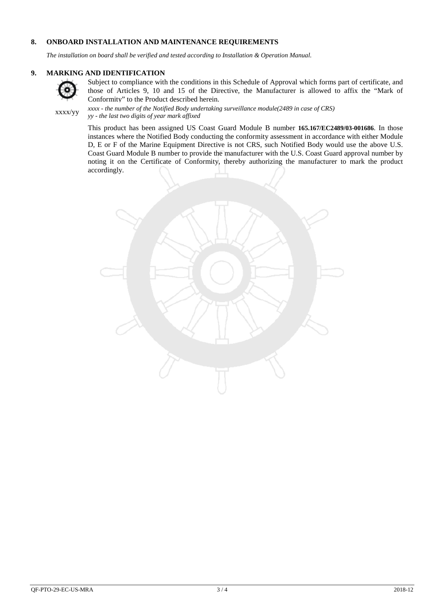#### **8. ONBOARD INSTALLATION AND MAINTENANCE REQUIREMENTS**

*The installation on board shall be verified and tested according to Installation & Operation Manual.*

### **9. MARKING AND IDENTIFICATION**



Subject to compliance with the conditions in this Schedule of Approval which forms part of certificate, and those of Articles 9, 10 and 15 of the Directive, the Manufacturer is allowed to affix the "Mark of Conformity" to the Product described herein.

xxxx/yy *xxxx - the number of the Notified Body undertaking surveillance module(2489 in case of CRS) yy - the last two digits of year mark affixed*

> This product has been assigned US Coast Guard Module B number **165.167/EC2489/03-001686**. In those instances where the Notified Body conducting the conformity assessment in accordance with either Module D, E or F of the Marine Equipment Directive is not CRS, such Notified Body would use the above U.S. Coast Guard Module B number to provide the manufacturer with the U.S. Coast Guard approval number by noting it on the Certificate of Conformity, thereby authorizing the manufacturer to mark the product accordingly.